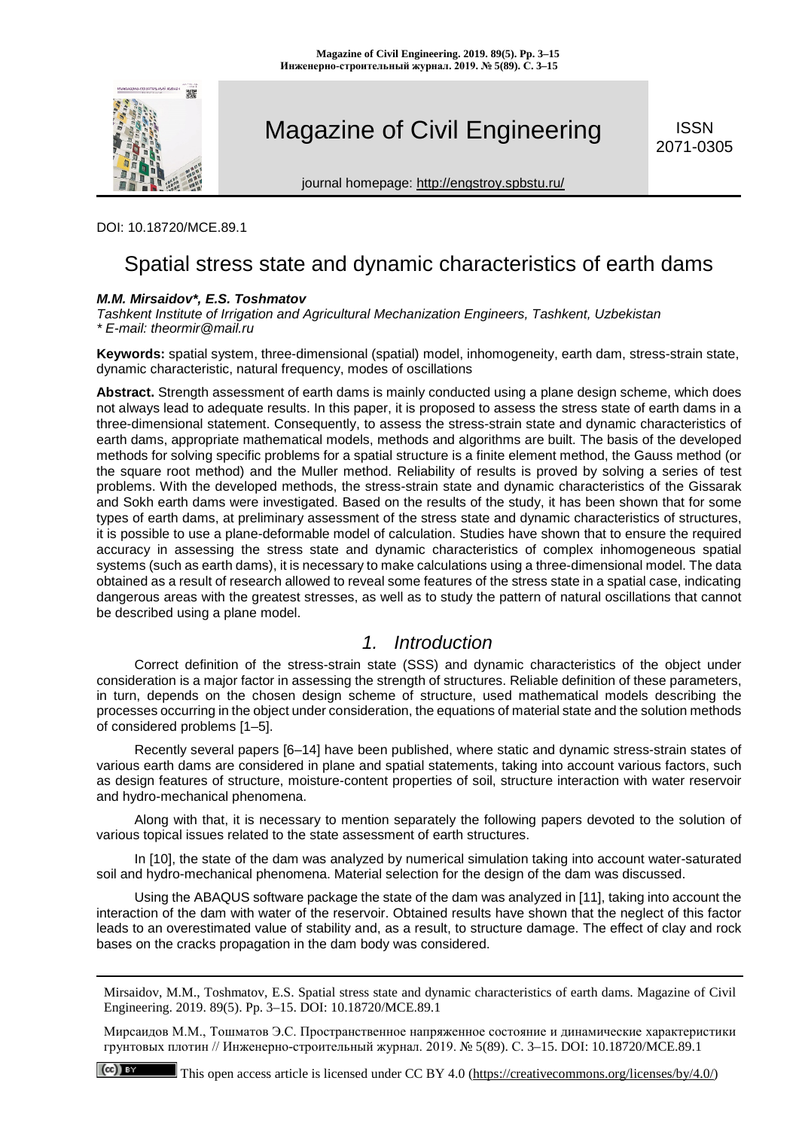

# Magazine of Civil Engineering **SEPAS ISSN**

**ISSN** 

journal homepage:<http://engstroy.spbstu.ru/>

#### DOI: 10.18720/MCE.89.1

 $(cc)$ 

## Spatial stress state and dynamic characteristics of earth dams

#### *M.M. Mirsaidov\*, E.S. Toshmatov*

*Tashkent Institute of Irrigation and Agricultural Mechanization Engineers, Tashkent, Uzbekistan \* E-mail: theormir@mail.ru*

**Keywords:** spatial system, three-dimensional (spatial) model, inhomogeneity, earth dam, stress-strain state, dynamic characteristic, natural frequency, modes of oscillations

**Abstract.** Strength assessment of earth dams is mainly conducted using a plane design scheme, which does not always lead to adequate results. In this paper, it is proposed to assess the stress state of earth dams in a three-dimensional statement. Consequently, to assess the stress-strain state and dynamic characteristics of earth dams, appropriate mathematical models, methods and algorithms are built. The basis of the developed methods for solving specific problems for a spatial structure is a finite element method, the Gauss method (or the square root method) and the Muller method. Reliability of results is proved by solving a series of test problems. With the developed methods, the stress-strain state and dynamic characteristics of the Gissarak and Sokh earth dams were investigated. Based on the results of the study, it has been shown that for some types of earth dams, at preliminary assessment of the stress state and dynamic characteristics of structures, it is possible to use a plane-deformable model of calculation. Studies have shown that to ensure the required accuracy in assessing the stress state and dynamic characteristics of complex inhomogeneous spatial systems (such as earth dams), it is necessary to make calculations using a three-dimensional model. The data obtained as a result of research allowed to reveal some features of the stress state in a spatial case, indicating dangerous areas with the greatest stresses, as well as to study the pattern of natural oscillations that cannot be described using a plane model.

### *1. Introduction*

Correct definition of the stress-strain state (SSS) and dynamic characteristics of the object under consideration is a major factor in assessing the strength of structures. Reliable definition of these parameters, in turn, depends on the chosen design scheme of structure, used mathematical models describing the processes occurring in the object under consideration, the equations of material state and the solution methods of considered problems [1–5].

Recently several papers [6–14] have been published, where static and dynamic stress-strain states of various earth dams are considered in plane and spatial statements, taking into account various factors, such as design features of structure, moisture-content properties of soil, structure interaction with water reservoir and hydro-mechanical phenomena.

Along with that, it is necessary to mention separately the following papers devoted to the solution of various topical issues related to the state assessment of earth structures.

In [10], the state of the dam was analyzed by numerical simulation taking into account water-saturated soil and hydro-mechanical phenomena. Material selection for the design of the dam was discussed.

Using the ABAQUS software package the state of the dam was analyzed in [11], taking into account the interaction of the dam with water of the reservoir. Obtained results have shown that the neglect of this factor leads to an overestimated value of stability and, as a result, to structure damage. The effect of clay and rock bases on the cracks propagation in the dam body was considered.

Mirsaidov, M.M., Toshmatov, E.S. Spatial stress state and dynamic characteristics of earth dams. Magazine of Civil Engineering. 2019. 89(5). Pp. 3–15. DOI: 10.18720/MCE.89.1

Мирсаидов М.М., Тошматов Э.С. Пространственное напряженное состояние и динамические характеристики грунтовых плотин // Инженерно-строительный журнал. 2019. № 5(89). С. 3–15. DOI: 10.18720/MCE.89.1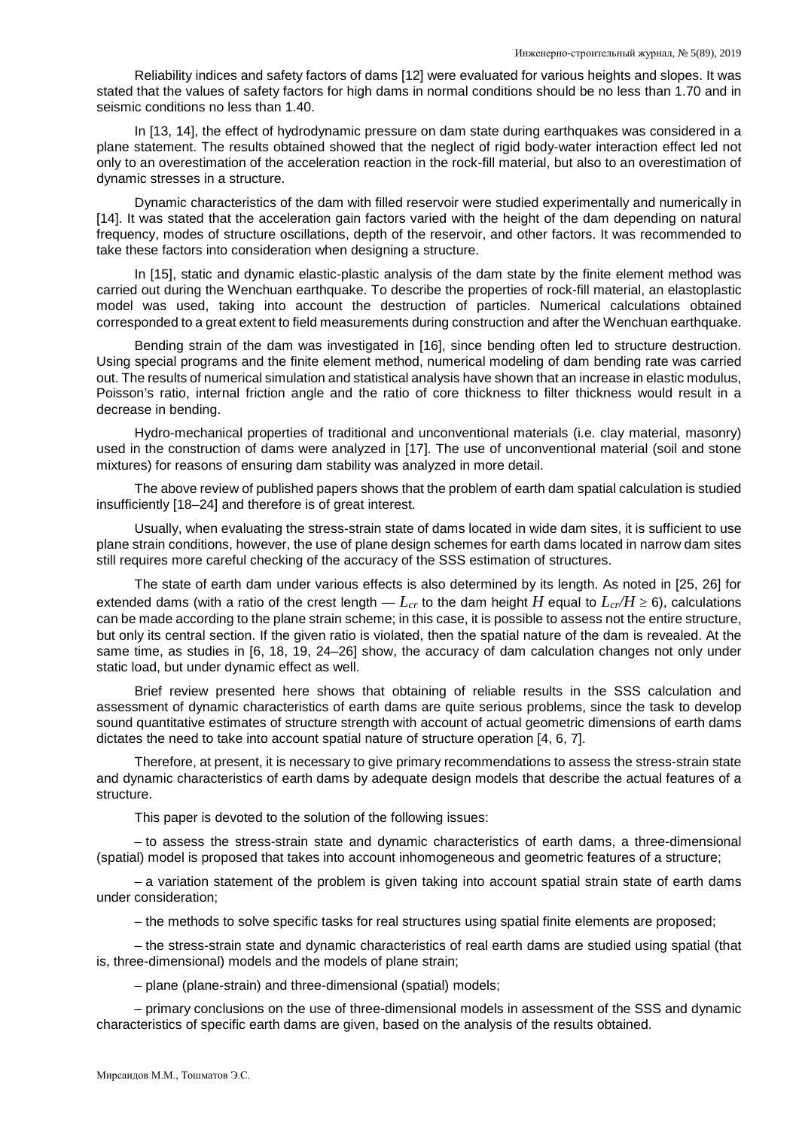Reliability indices and safety factors of dams [12] were evaluated for various heights and slopes. It was stated that the values of safety factors for high dams in normal conditions should be no less than 1.70 and in seismic conditions no less than 1.40.

In [13, 14], the effect of hydrodynamic pressure on dam state during earthquakes was considered in a plane statement. The results obtained showed that the neglect of rigid body-water interaction effect led not only to an overestimation of the acceleration reaction in the rock-fill material, but also to an overestimation of dynamic stresses in a structure.

Dynamic characteristics of the dam with filled reservoir were studied experimentally and numerically in [14]. It was stated that the acceleration gain factors varied with the height of the dam depending on natural frequency, modes of structure oscillations, depth of the reservoir, and other factors. It was recommended to take these factors into consideration when designing a structure.

In [15], static and dynamic elastic-plastic analysis of the dam state by the finite element method was carried out during the Wenchuan earthquake. To describe the properties of rock-fill material, an elastoplastic model was used, taking into account the destruction of particles. Numerical calculations obtained corresponded to a great extent to field measurements during construction and after the Wenchuan earthquake.

Bending strain of the dam was investigated in [16], since bending often led to structure destruction. Using special programs and the finite element method, numerical modeling of dam bending rate was carried out. The results of numerical simulation and statistical analysis have shown that an increase in elastic modulus, Poisson's ratio, internal friction angle and the ratio of core thickness to filter thickness would result in a decrease in bending.

Hydro-mechanical properties of traditional and unconventional materials (i.e. clay material, masonry) used in the construction of dams were analyzed in [17]. The use of unconventional material (soil and stone mixtures) for reasons of ensuring dam stability was analyzed in more detail.

The above review of published papers shows that the problem of earth dam spatial calculation is studied insufficiently [18–24] and therefore is of great interest.

Usually, when evaluating the stress-strain state of dams located in wide dam sites, it is sufficient to use plane strain conditions, however, the use of plane design schemes for earth dams located in narrow dam sites still requires more careful checking of the accuracy of the SSS estimation of structures.

The state of earth dam under various effects is also determined by its length. As noted in [25, 26] for extended dams (with a ratio of the crest length  $-L_{cr}$  to the dam height *H* equal to  $L_{cr}/H \ge 6$ ), calculations can be made according to the plane strain scheme; in this case, it is possible to assess not the entire structure, but only its central section. If the given ratio is violated, then the spatial nature of the dam is revealed. At the same time, as studies in [6, 18, 19, 24–26] show, the accuracy of dam calculation changes not only under static load, but under dynamic effect as well.

Brief review presented here shows that obtaining of reliable results in the SSS calculation and assessment of dynamic characteristics of earth dams are quite serious problems, since the task to develop sound quantitative estimates of structure strength with account of actual geometric dimensions of earth dams dictates the need to take into account spatial nature of structure operation [4, 6, 7].

Therefore, at present, it is necessary to give primary recommendations to assess the stress-strain state and dynamic characteristics of earth dams by adequate design models that describe the actual features of a structure.

This paper is devoted to the solution of the following issues:

– to assess the stress-strain state and dynamic characteristics of earth dams, a three-dimensional (spatial) model is proposed that takes into account inhomogeneous and geometric features of a structure;

– a variation statement of the problem is given taking into account spatial strain state of earth dams under consideration;

– the methods to solve specific tasks for real structures using spatial finite elements are proposed;

– the stress-strain state and dynamic characteristics of real earth dams are studied using spatial (that is, three-dimensional) models and the models of plane strain;

– plane (plane-strain) and three-dimensional (spatial) models;

– primary conclusions on the use of three-dimensional models in assessment of the SSS and dynamic characteristics of specific earth dams are given, based on the analysis of the results obtained.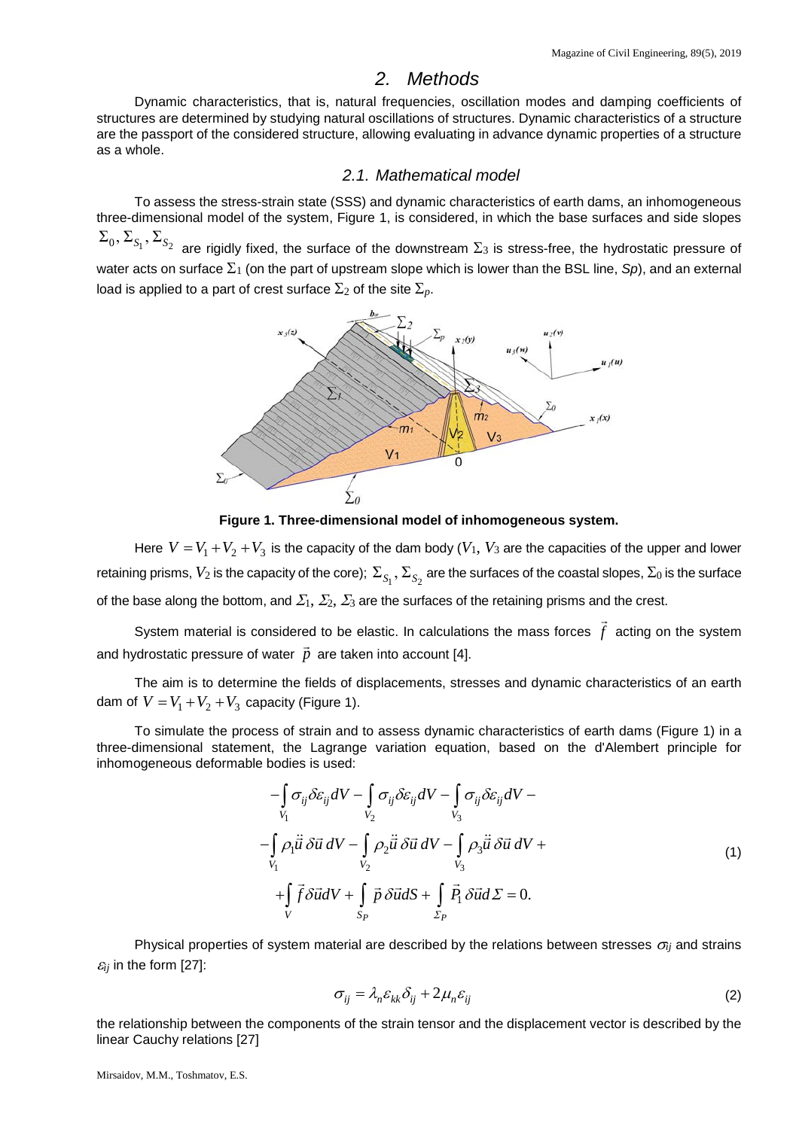#### *2. Methods*

Dynamic characteristics, that is, natural frequencies, oscillation modes and damping coefficients of structures are determined by studying natural oscillations of structures. Dynamic characteristics of a structure are the passport of the considered structure, allowing evaluating in advance dynamic properties of a structure as a whole.

#### *2.1. Mathematical model*

To assess the stress-strain state (SSS) and dynamic characteristics of earth dams, an inhomogeneous three-dimensional model of the system, Figure 1, is considered, in which the base surfaces and side slopes

 $\Sigma_0$ ,  $\Sigma_{S_1}$ ,  $\Sigma_{S_2}$  are rigidly fixed, the surface of the downstream  $\Sigma_3$  is stress-free, the hydrostatic pressure of water acts on surface  $\Sigma_1$  (on the part of upstream slope which is lower than the BSL line, *Sp*), and an external load is applied to a part of crest surface  $\Sigma_2$  of the site  $\Sigma_p$ .



**Figure 1. Three-dimensional model of inhomogeneous system.**

Here  $V = V_1 + V_2 + V_3$  is the capacity of the dam body ( $V_1$ ,  $V_3$  are the capacities of the upper and lower retaining prisms,  $V_2$  is the capacity of the core);  $\Sigma_{S_1}$ ,  $\Sigma_{S_2}$  are the surfaces of the coastal slopes,  $\Sigma_0$  is the surface of the base along the bottom, and  $\Sigma_1$ ,  $\Sigma_2$ ,  $\Sigma_3$  are the surfaces of the retaining prisms and the crest.

System material is considered to be elastic. In calculations the mass forces  $\vec{f}$  acting on the system and hydrostatic pressure of water  $\vec{p}$  are taken into account [4].

The aim is to determine the fields of displacements, stresses and dynamic characteristics of an earth dam of  $V = V_1 + V_2 + V_3$  capacity (Figure 1).

To simulate the process of strain and to assess dynamic characteristics of earth dams (Figure 1) in a three-dimensional statement, the Lagrange variation equation, based on the d'Alembert principle for inhomogeneous deformable bodies is used:

$$
-\int_{V_1} \sigma_{ij} \delta \varepsilon_{ij} dV - \int_{V_2} \sigma_{ij} \delta \varepsilon_{ij} dV - \int_{V_3} \sigma_{ij} \delta \varepsilon_{ij} dV -
$$
  

$$
-\int_{V_1} \rho_1 \ddot{u} \delta \vec{u} dV - \int_{V_2} \rho_2 \ddot{u} \delta \vec{u} dV - \int_{V_3} \rho_3 \ddot{u} \delta \vec{u} dV +
$$
  

$$
+\int_{V_1} \vec{f} \delta \vec{u} dV + \int_{S_P} \vec{p} \delta \vec{u} dS + \int_{\Sigma_P} \vec{P}_1 \delta \vec{u} dS = 0.
$$
 (1)

Physical properties of system material are described by the relations between stresses <sup>σ</sup>*ij* and strains  $\varepsilon_{ij}$  in the form [27]:

$$
\sigma_{ij} = \lambda_n \varepsilon_{kk} \delta_{ij} + 2\mu_n \varepsilon_{ij}
$$
 (2)

the relationship between the components of the strain tensor and the displacement vector is described by the linear Cauchy relations [27]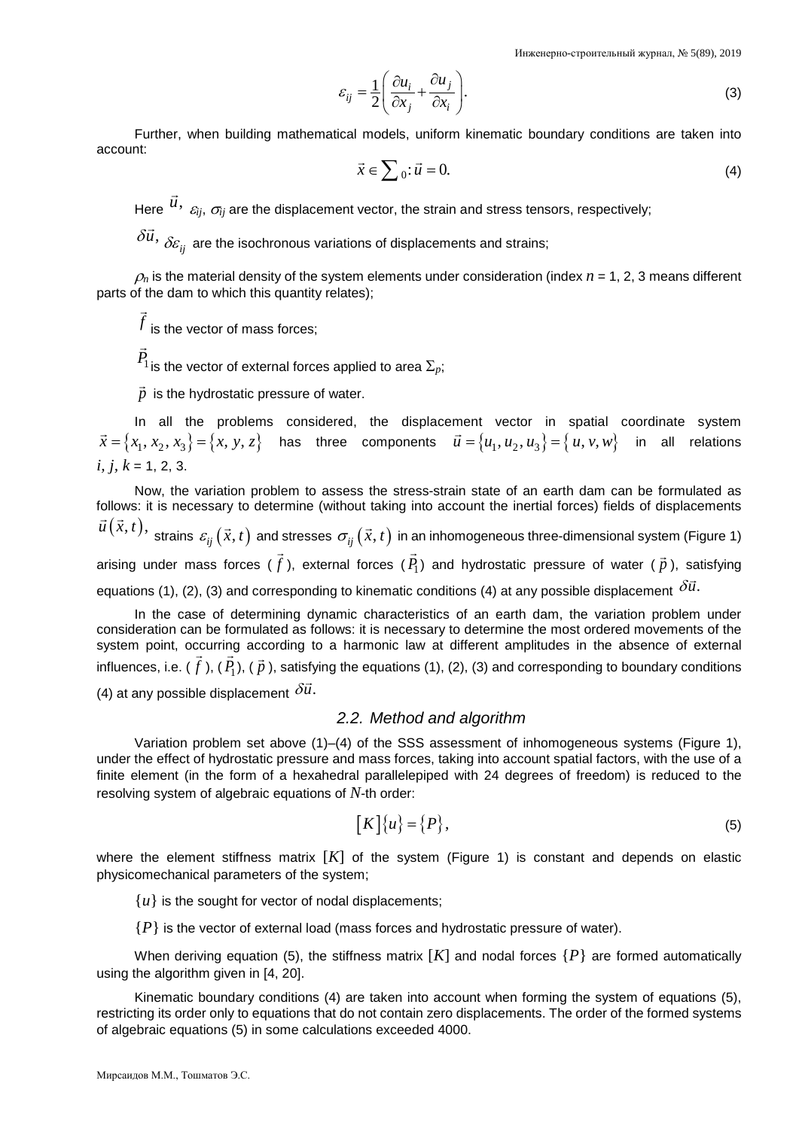$$
\varepsilon_{ij} = \frac{1}{2} \left( \frac{\partial u_i}{\partial x_j} + \frac{\partial u_j}{\partial x_i} \right).
$$
 (3)

Further, when building mathematical models, uniform kinematic boundary conditions are taken into account:

$$
\vec{x} \in \sum_{0} \cdot \vec{u} = 0. \tag{4}
$$

Here  $\vec{u}$ ,  $\varepsilon_{ij}$ ,  $\sigma_{ij}$  are the displacement vector, the strain and stress tensors, respectively;

δ*u*,  $\delta \! \varepsilon_{ij}$  are the isochronous variations of displacements and strains;

 $\rho_n$  is the material density of the system elements under consideration (index  $n = 1, 2, 3$  means different parts of the dam to which this quantity relates);

*f* is the vector of mass forces;

 $\overline{a}$ 

 $\overline{a}$ 

*P*1 is the vector of external forces applied to area  $\Sigma_p$ ;

 $\vec{p}\,$  is the hydrostatic pressure of water.

In all the problems considered, the displacement vector in spatial coordinate system  $\vec{x} = \{x_1, x_2, x_3\} = \{x, y, z\}$  has three components  $\vec{u} = \{u_1, u_2, u_3\} = \{u, v, w\}$  in all relations *i, j, k* = 1, 2, 3.

Now, the variation problem to assess the stress-strain state of an earth dam can be formulated as follows: it is necessary to determine (without taking into account the inertial forces) fields of displacements *u*  $(\vec{x}, t)$ , strains  $\varepsilon_{ij}(\vec{x}, t)$  and stresses  $\sigma_{ij}(\vec{x}, t)$  in an inhomogeneous three-dimensional system (Figure 1)

arising under mass forces ( $\vec{f}$ ), external forces ( $\vec{P}_{1}$ ) and hydrostatic pressure of water ( $\vec{p}$ ), satisfying  $\begin{array}{ccc} & & & & \mathcal{I} \setminus \mathcal{I} & & & \mathcal{I} \end{array}$ 

equations (1), (2), (3) and corresponding to kinematic conditions (4) at any possible displacement  $\delta \vec{u}$ .

In the case of determining dynamic characteristics of an earth dam, the variation problem under consideration can be formulated as follows: it is necessary to determine the most ordered movements of the system point, occurring according to a harmonic law at different amplitudes in the absence of external influences, i.e. ( *f*  $\frac{1}{2}$ ), ( $P_1$  $\frac{1}{2}$ ), (  $\vec{p}$  ), satisfying the equations (1), (2), (3) and corresponding to boundary conditions (4) at any possible displacement  $\delta \vec{u}$ .

#### *2.2. Method and algorithm*

Variation problem set above (1)–(4) of the SSS assessment of inhomogeneous systems (Figure 1), under the effect of hydrostatic pressure and mass forces, taking into account spatial factors, with the use of a finite element (in the form of a hexahedral parallelepiped with 24 degrees of freedom) is reduced to the resolving system of algebraic equations of *N-*th order:

$$
[K]\{u\} = \{P\},\tag{5}
$$

where the element stiffness matrix [K] of the system (Figure 1) is constant and depends on elastic physicomechanical parameters of the system;

 ${u}$  is the sought for vector of nodal displacements;

 ${P}$  is the vector of external load (mass forces and hydrostatic pressure of water).

When deriving equation (5), the stiffness matrix  $[K]$  and nodal forces  $\{P\}$  are formed automatically using the algorithm given in [4, 20].

Kinematic boundary conditions (4) are taken into account when forming the system of equations (5), restricting its order only to equations that do not contain zero displacements. The order of the formed systems of algebraic equations (5) in some calculations exceeded 4000.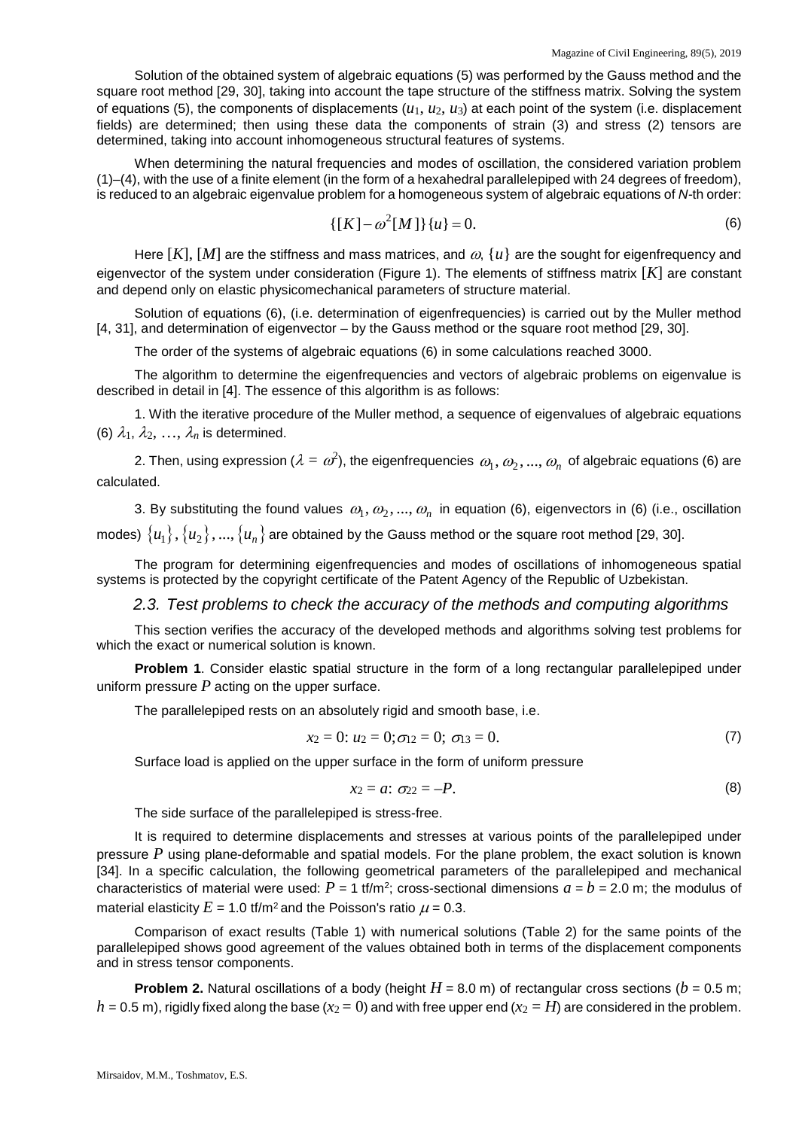Solution of the obtained system of algebraic equations (5) was performed by the Gauss method and the square root method [29, 30], taking into account the tape structure of the stiffness matrix. Solving the system of equations (5), the components of displacements  $(u_1, u_2, u_3)$  at each point of the system (i.e. displacement fields) are determined; then using these data the components of strain (3) and stress (2) tensors are determined, taking into account inhomogeneous structural features of systems.

When determining the natural frequencies and modes of oscillation, the considered variation problem (1)–(4), with the use of a finite element (in the form of a hexahedral parallelepiped with 24 degrees of freedom), is reduced to an algebraic eigenvalue problem for a homogeneous system of algebraic equations of *N-*th order:

$$
\{[K] - \omega^2[M]\}\{u\} = 0.
$$
 (6)

Here  $[K]$ ,  $[M]$  are the stiffness and mass matrices, and  $\omega$ ,  $\{u\}$  are the sought for eigenfrequency and eigenvector of the system under consideration (Figure 1). The elements of stiffness matrix [*K*] are constant and depend only on elastic physicomechanical parameters of structure material.

Solution of equations (6), (i.e. determination of eigenfrequencies) is carried out by the Muller method [4, 31], and determination of eigenvector – by the Gauss method or the square root method [29, 30].

The order of the systems of algebraic equations (6) in some calculations reached 3000.

The algorithm to determine the eigenfrequencies and vectors of algebraic problems on eigenvalue is described in detail in [4]. The essence of this algorithm is as follows:

1. With the iterative procedure of the Muller method, a sequence of eigenvalues of algebraic equations (6)  $\lambda_1, \lambda_2, \ldots, \lambda_n$  is determined.

2. Then, using expression ( $\lambda=\varpi^2$ ), the eigenfrequencies  $\,\varpi_1,\varpi_2,...,\varpi_n\,$  of algebraic equations (6) are calculated.

3. By substituting the found values  $\omega_1, \omega_2, ..., \omega_n$  in equation (6), eigenvectors in (6) (i.e., oscillation modes)  $\{u_1\}, \{u_2\}, ..., \{u_n\}$  are obtained by the Gauss method or the square root method [29, 30].

The program for determining eigenfrequencies and modes of oscillations of inhomogeneous spatial systems is protected by the copyright certificate of the Patent Agency of the Republic of Uzbekistan.

#### *2.3. Test problems to check the accuracy of the methods and computing algorithms*

This section verifies the accuracy of the developed methods and algorithms solving test problems for which the exact or numerical solution is known.

**Problem 1**. Consider elastic spatial structure in the form of a long rectangular parallelepiped under uniform pressure *P* acting on the upper surface.

The parallelepiped rests on an absolutely rigid and smooth base, i.e.

$$
x_2 = 0; u_2 = 0; \sigma_{12} = 0; \sigma_{13} = 0.
$$
 (7)

Surface load is applied on the upper surface in the form of uniform pressure

$$
x_2 = a: \ \sigma_{22} = -P. \tag{8}
$$

The side surface of the parallelepiped is stress-free.

It is required to determine displacements and stresses at various points of the parallelepiped under pressure *P* using plane-deformable and spatial models. For the plane problem, the exact solution is known [34]. In a specific calculation, the following geometrical parameters of the parallelepiped and mechanical characteristics of material were used:  $P = 1$  tf/m<sup>2</sup>; cross-sectional dimensions  $a = b = 2.0$  m; the modulus of material elasticity  $E = 1.0$  tf/m<sup>2</sup> and the Poisson's ratio  $\mu = 0.3$ .

Comparison of exact results (Table 1) with numerical solutions (Table 2) for the same points of the parallelepiped shows good agreement of the values obtained both in terms of the displacement components and in stress tensor components.

**Problem 2.** Natural oscillations of a body (height  $H = 8.0$  m) of rectangular cross sections ( $b = 0.5$  m;  $h = 0.5$  m), rigidly fixed along the base ( $x_2 = 0$ ) and with free upper end ( $x_2 = H$ ) are considered in the problem.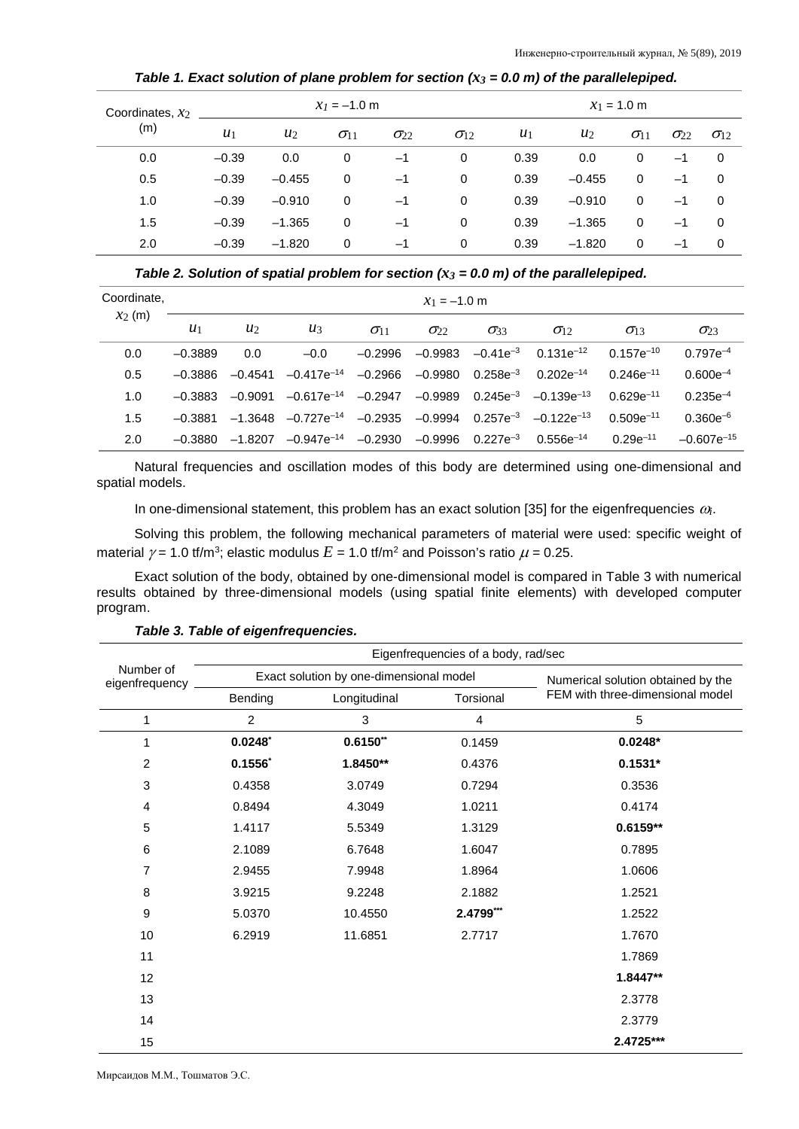*Table 1. Exact solution of plane problem for section*  $(x_3 = 0.0 \text{ m})$  *of the parallelepiped.* 

| Coordinates, $x_2$<br>(m) | $x_1 = -1.0$ m |          |                        |               |                        | $x_1 = 1.0$ m |          |               |               |                        |
|---------------------------|----------------|----------|------------------------|---------------|------------------------|---------------|----------|---------------|---------------|------------------------|
|                           | $u_1$          | $u_2$    | $\sigma$ <sub>11</sub> | $\sigma_{22}$ | $\sigma$ <sub>12</sub> | $u_1$         | $u_2$    | $\sigma_{11}$ | $\sigma_{22}$ | $\sigma$ <sub>12</sub> |
| 0.0                       | $-0.39$        | 0.0      | 0                      | $-1$          | 0                      | 0.39          | 0.0      | 0             | $-1$          | $\mathbf 0$            |
| 0.5                       | $-0.39$        | $-0.455$ | 0                      | $-1$          | 0                      | 0.39          | $-0.455$ | 0             | $-1$          | $\mathbf 0$            |
| 1.0                       | $-0.39$        | $-0.910$ | 0                      | $-1$          | 0                      | 0.39          | $-0.910$ | $\Omega$      | $-1$          | 0                      |
| 1.5                       | $-0.39$        | $-1.365$ | 0                      | $-1$          | 0                      | 0.39          | $-1.365$ | 0             | $-1$          | 0                      |
| 2.0                       | $-0.39$        | $-1.820$ | 0                      | $-1$          | 0                      | 0.39          | $-1.820$ | 0             | $-1$          | 0                      |

*Table 2. Solution of spatial problem for section*  $(x_3 = 0.0 \text{ m})$  *of the parallelepiped.* 

| Coordinate, |           | $x_1 = -1.0$ m |                           |               |               |               |                                                          |                        |                 |  |  |
|-------------|-----------|----------------|---------------------------|---------------|---------------|---------------|----------------------------------------------------------|------------------------|-----------------|--|--|
| $x_2$ (m)   | $u_1$     | $u_2$          | $u_3$                     | $\sigma_{11}$ | $\sigma_{22}$ | $\sigma_{33}$ | $\sigma$ <sub>12</sub>                                   | $\sigma$ <sub>13</sub> | $\sigma_{23}$   |  |  |
| 0.0         | $-0.3889$ | 0.0            | $-0.0$                    | -0.2996       |               |               | $-0.9983$ $-0.41e^{-3}$ 0.131e <sup>-12</sup>            | $0.157e^{-10}$         | $0.797e^{-4}$   |  |  |
| 0.5         | $-0.3886$ | $-0.4541$      | $-0.417e^{-14}$ $-0.2966$ |               | -0.9980       |               | $0.258e^{-3}$ 0.202 $e^{-14}$                            | $0.246e^{-11}$         | $0.600e^{-4}$   |  |  |
| 1.0         | $-0.3883$ | -0.9091        | $-0.617e^{-14}$ $-0.2947$ |               |               |               | $-0.9989$ 0.245e <sup>-3</sup> $-0.139$ e <sup>-13</sup> | $0.629e^{-11}$         | $0.235e^{-4}$   |  |  |
| 1.5         | $-0.3881$ | $-1.3648$      | $-0.727e^{-14}$           | $-0.2935$     | $-0.9994$     |               | $0.257e^{-3}$ $-0.122e^{-13}$                            | $0.509e^{-11}$         | $0.360e^{-6}$   |  |  |
| 2.0         | $-0.3880$ | $-1.8207$      | –0.947e <sup>–14</sup>    | $-0.2930$     | $-0.9996$     |               | $0.227e^{-3}$ 0.556e <sup>-14</sup>                      | $0.29e^{-11}$          | $-0.607e^{-15}$ |  |  |

Natural frequencies and oscillation modes of this body are determined using one-dimensional and spatial models.

In one-dimensional statement, this problem has an exact solution [35] for the eigenfrequencies <sup>ω</sup>*i*.

Solving this problem, the following mechanical parameters of material were used: specific weight of material  $\gamma$  = 1.0 tf/m<sup>3</sup>; elastic modulus  $E$  = 1.0 tf/m<sup>2</sup> and Poisson's ratio  $\mu$  = 0.25.

Exact solution of the body, obtained by one-dimensional model is compared in Table 3 with numerical results obtained by three-dimensional models (using spatial finite elements) with developed computer program.

|                             | Eigenfrequencies of a body, rad/sec |                                         |                                    |                                  |  |  |  |  |  |  |
|-----------------------------|-------------------------------------|-----------------------------------------|------------------------------------|----------------------------------|--|--|--|--|--|--|
| Number of<br>eigenfrequency |                                     | Exact solution by one-dimensional model | Numerical solution obtained by the |                                  |  |  |  |  |  |  |
|                             | Bending                             | Longitudinal                            | Torsional                          | FEM with three-dimensional model |  |  |  |  |  |  |
| 1                           | $\overline{2}$                      | 3                                       | $\overline{4}$                     | 5                                |  |  |  |  |  |  |
| 1                           | 0.0248                              | $0.6150**$                              | 0.1459                             | $0.0248*$                        |  |  |  |  |  |  |
| $\overline{2}$              | $0.1556^*$                          | 1.8450**                                | 0.4376                             | $0.1531*$                        |  |  |  |  |  |  |
| $\mathbf{3}$                | 0.4358                              | 3.0749                                  | 0.7294                             | 0.3536                           |  |  |  |  |  |  |
| $\overline{4}$              | 0.8494                              | 4.3049                                  | 1.0211                             | 0.4174                           |  |  |  |  |  |  |
| $\overline{5}$              | 1.4117                              | 5.5349                                  | 1.3129                             | $0.6159**$                       |  |  |  |  |  |  |
| 6                           | 2.1089                              | 6.7648                                  | 1.6047                             | 0.7895                           |  |  |  |  |  |  |
| 7                           | 2.9455                              | 7.9948                                  | 1.8964                             | 1.0606                           |  |  |  |  |  |  |
| 8                           | 3.9215                              | 9.2248                                  | 2.1882                             | 1.2521                           |  |  |  |  |  |  |
| 9                           | 5.0370                              | 10.4550                                 | 2.4799***                          | 1.2522                           |  |  |  |  |  |  |
| 10                          | 6.2919                              | 11.6851                                 | 2.7717                             | 1.7670                           |  |  |  |  |  |  |
| 11                          |                                     |                                         |                                    | 1.7869                           |  |  |  |  |  |  |
| 12                          |                                     |                                         |                                    | 1.8447**                         |  |  |  |  |  |  |
| 13                          |                                     |                                         |                                    | 2.3778                           |  |  |  |  |  |  |
| 14                          |                                     |                                         |                                    | 2.3779                           |  |  |  |  |  |  |
| 15                          |                                     |                                         |                                    | 2.4725***                        |  |  |  |  |  |  |

*Table 3. Table of eigenfrequencies.*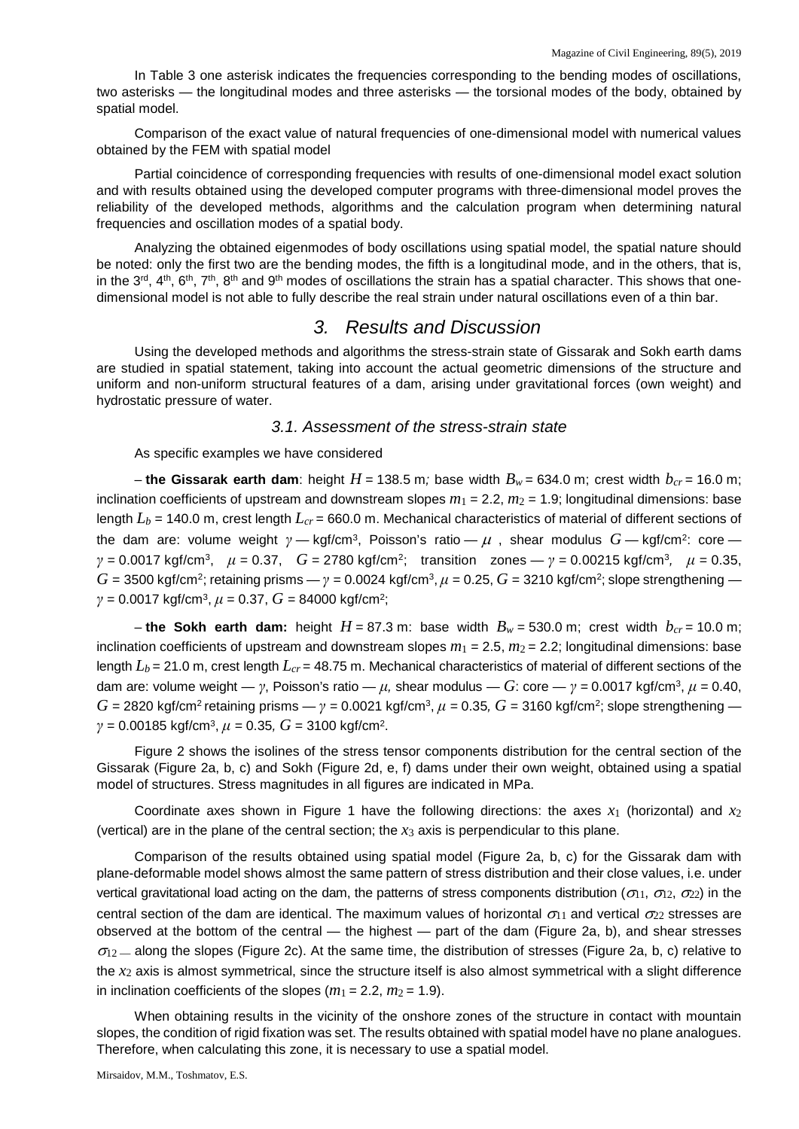In Table 3 one asterisk indicates the frequencies corresponding to the bending modes of oscillations, two asterisks — the longitudinal modes and three asterisks — the torsional modes of the body, obtained by spatial model.

Comparison of the exact value of natural frequencies of one-dimensional model with numerical values obtained by the FEM with spatial model

Partial coincidence of corresponding frequencies with results of one-dimensional model exact solution and with results obtained using the developed computer programs with three-dimensional model proves the reliability of the developed methods, algorithms and the calculation program when determining natural frequencies and oscillation modes of a spatial body.

Analyzing the obtained eigenmodes of body oscillations using spatial model, the spatial nature should be noted: only the first two are the bending modes, the fifth is a longitudinal mode, and in the others, that is, in the 3<sup>rd</sup>, 4<sup>th</sup>, 6<sup>th</sup>, 7<sup>th</sup>, 8<sup>th</sup> and 9<sup>th</sup> modes of oscillations the strain has a spatial character. This shows that onedimensional model is not able to fully describe the real strain under natural oscillations even of a thin bar.

#### *3. Results and Discussion*

Using the developed methods and algorithms the stress-strain state of Gissarak and Sokh earth dams are studied in spatial statement, taking into account the actual geometric dimensions of the structure and uniform and non-uniform structural features of a dam, arising under gravitational forces (own weight) and hydrostatic pressure of water.

#### *3.1. Assessment of the stress-strain state*

As specific examples we have considered

– **the Gissarak earth dam**: height  $H = 138.5$  m; base width  $B_w = 634.0$  m; crest width  $b_{cr} = 16.0$  m; inclination coefficients of upstream and downstream slopes  $m_1 = 2.2$ ,  $m_2 = 1.9$ ; longitudinal dimensions: base length  $L_b$  = 140.0 m, crest length  $L_{cr}$  = 660.0 m. Mechanical characteristics of material of different sections of the dam are: volume weight *γ —* kgf/cm3, Poisson's ratio — <sup>µ</sup> , shear modulus *G —* kgf/cm2: core *γ =* 0.0017 kgf/cm3, *μ* = 0.37, *G* = 2780 kgf/cm2; transition zones — *γ =* 0.00215 kgf/cm3*, μ* = 0.35,  $G = 3500$  kgf/cm<sup>2</sup>; retaining prisms  $\gamma = 0.0024$  kgf/cm<sup>3</sup>,  $\mu = 0.25$ ,  $G = 3210$  kgf/cm<sup>2</sup>; slope strengthening *γ =* 0.0017 kgf/cm3, *μ* = 0.37, *G* = 84000 kgf/cm2;

– the Sokh earth dam: height  $H = 87.3$  m: base width  $B_w = 530.0$  m; crest width  $b_{cr} = 10.0$  m; inclination coefficients of upstream and downstream slopes  $m_1 = 2.5$ ,  $m_2 = 2.2$ ; longitudinal dimensions: base length  $L_b$  = 21.0 m, crest length  $L_{cr}$  = 48.75 m. Mechanical characteristics of material of different sections of the dam are: volume weight — *γ*, Poisson's ratio —  $\mu$ , shear modulus — *G*: core — *γ* = 0.0017 kgf/cm<sup>3</sup>,  $\mu$  = 0.40,  $G = 2820$  kgf/cm<sup>2</sup> retaining prisms  $\rightarrow$  *γ* = 0.0021 kgf/cm<sup>3</sup>,  $\mu$  = 0.35,  $G = 3160$  kgf/cm<sup>2</sup>; slope strengthening *γ =* 0.00185 kgf/cm3, *μ =* 0.35*, G* = 3100 kgf/cm2.

Figure 2 shows the isolines of the stress tensor components distribution for the central section of the Gissarak (Figure 2a, b, c) and Sokh (Figure 2d, e, f) dams under their own weight, obtained using a spatial model of structures. Stress magnitudes in all figures are indicated in MPa.

Coordinate axes shown in Figure 1 have the following directions: the axes  $x_1$  (horizontal) and  $x_2$ (vertical) are in the plane of the central section; the  $x_3$  axis is perpendicular to this plane.

Comparison of the results obtained using spatial model (Figure 2a, b, c) for the Gissarak dam with plane-deformable model shows almost the same pattern of stress distribution and their close values, i.e. under vertical gravitational load acting on the dam, the patterns of stress components distribution ( $\sigma_{11}$ ,  $\sigma_{12}$ ,  $\sigma_{22}$ ) in the central section of the dam are identical. The maximum values of horizontal  $\sigma_{11}$  and vertical  $\sigma_{22}$  stresses are observed at the bottom of the central — the highest — part of the dam (Figure 2a, b), and shear stresses  $\sigma$ <sub>12</sub> — along the slopes (Figure 2c). At the same time, the distribution of stresses (Figure 2a, b, c) relative to the *x*<sup>2</sup> axis is almost symmetrical, since the structure itself is also almost symmetrical with a slight difference in inclination coefficients of the slopes  $(m_1 = 2.2, m_2 = 1.9)$ .

When obtaining results in the vicinity of the onshore zones of the structure in contact with mountain slopes, the condition of rigid fixation was set. The results obtained with spatial model have no plane analogues. Therefore, when calculating this zone, it is necessary to use a spatial model.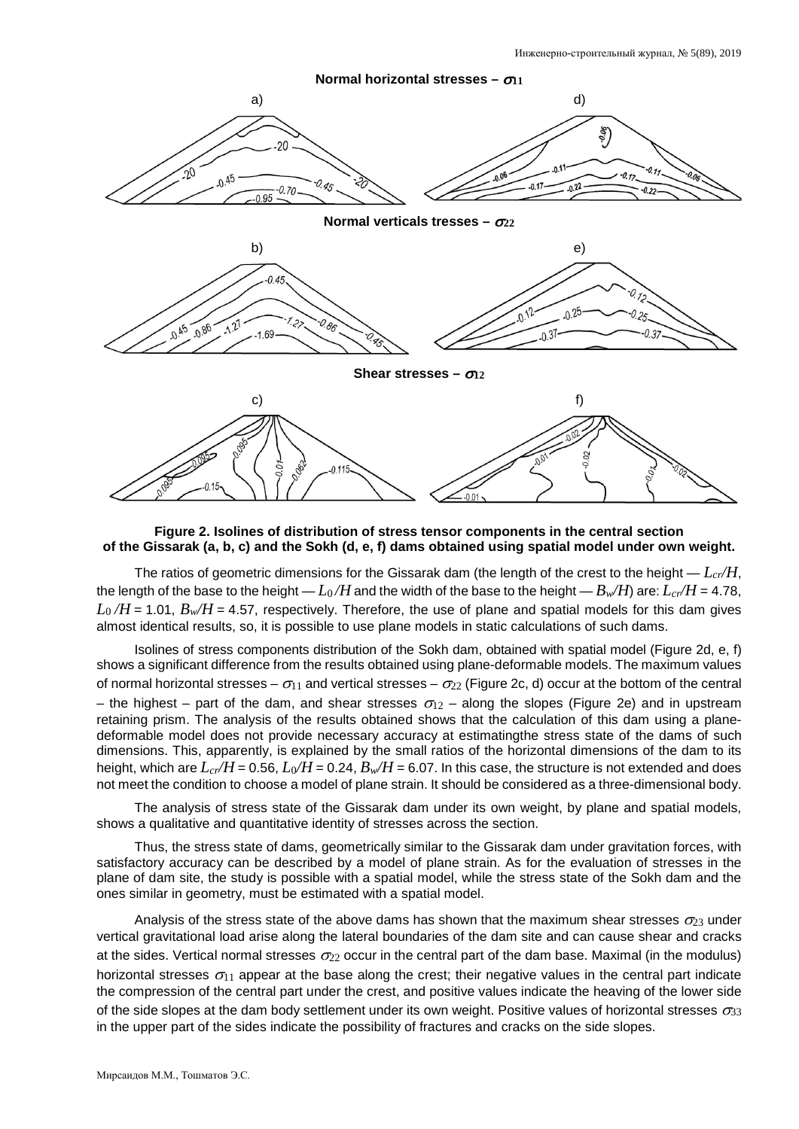

**Figure 2. Isolines of distribution of stress tensor components in the central section of the Gissarak (a, b, c) and the Sokh (d, e, f) dams obtained using spatial model under own weight.**

The ratios of geometric dimensions for the Gissarak dam (the length of the crest to the height  $-L_{cr}/H$ , the length of the base to the height —  $L_0/H$  and the width of the base to the height —  $B_w/H$ ) are:  $L_{cr}/H$  = 4.78,  $L_0/H$  = 1.01,  $B_w/H$  = 4.57, respectively. Therefore, the use of plane and spatial models for this dam gives almost identical results, so, it is possible to use plane models in static calculations of such dams.

Isolines of stress components distribution of the Sokh dam, obtained with spatial model (Figure 2d, e, f) shows a significant difference from the results obtained using plane-deformable models. The maximum values of normal horizontal stresses –  $\sigma_{11}$  and vertical stresses –  $\sigma_{22}$  (Figure 2c, d) occur at the bottom of the central – the highest – part of the dam, and shear stresses  $\sigma_{12}$  – along the slopes (Figure 2e) and in upstream retaining prism. The analysis of the results obtained shows that the calculation of this dam using a planedeformable model does not provide necessary accuracy at estimatingthe stress state of the dams of such dimensions. This, apparently, is explained by the small ratios of the horizontal dimensions of the dam to its height, which are  $L_{cr}/H$  = 0.56,  $L_0/H$  = 0.24,  $B_w/H$  = 6.07. In this case, the structure is not extended and does not meet the condition to choose a model of plane strain. It should be considered as a three-dimensional body.

The analysis of stress state of the Gissarak dam under its own weight, by plane and spatial models, shows a qualitative and quantitative identity of stresses across the section.

Thus, the stress state of dams, geometrically similar to the Gissarak dam under gravitation forces, with satisfactory accuracy can be described by a model of plane strain. As for the evaluation of stresses in the plane of dam site, the study is possible with a spatial model, while the stress state of the Sokh dam and the ones similar in geometry, must be estimated with a spatial model.

Analysis of the stress state of the above dams has shown that the maximum shear stresses  $\sigma_{23}$  under vertical gravitational load arise along the lateral boundaries of the dam site and can cause shear and cracks at the sides. Vertical normal stresses  $\sigma_{22}$  occur in the central part of the dam base. Maximal (in the modulus) horizontal stresses  $\sigma_{11}$  appear at the base along the crest; their negative values in the central part indicate the compression of the central part under the crest, and positive values indicate the heaving of the lower side of the side slopes at the dam body settlement under its own weight. Positive values of horizontal stresses  $\sigma_{33}$ in the upper part of the sides indicate the possibility of fractures and cracks on the side slopes.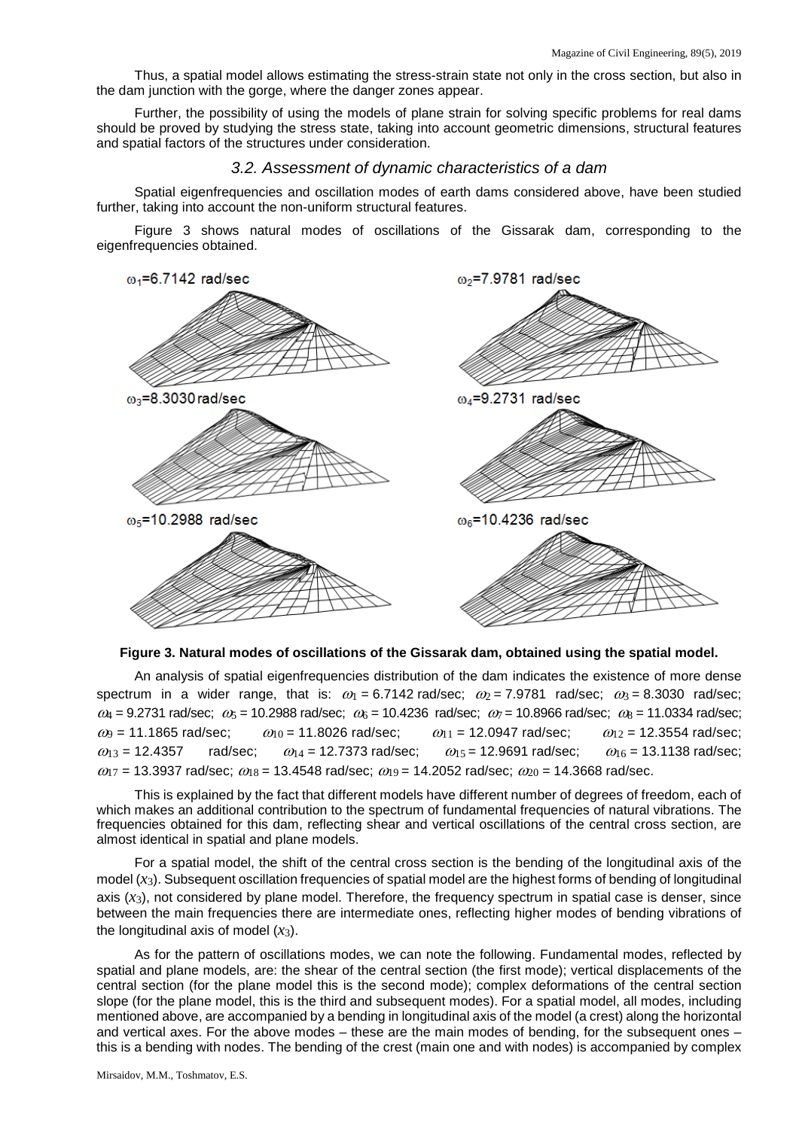Thus, a spatial model allows estimating the stress-strain state not only in the cross section, but also in the dam junction with the gorge, where the danger zones appear.

Further, the possibility of using the models of plane strain for solving specific problems for real dams should be proved by studying the stress state, taking into account geometric dimensions, structural features and spatial factors of the structures under consideration.

#### *3.2. Assessment of dynamic characteristics of a dam*

Spatial eigenfrequencies and oscillation modes of earth dams considered above, have been studied further, taking into account the non-uniform structural features.

Figure 3 shows natural modes of oscillations of the Gissarak dam, corresponding to the eigenfrequencies obtained.



**Figure 3. Natural modes of oscillations of the Gissarak dam, obtained using the spatial model.**

An analysis of spatial eigenfrequencies distribution of the dam indicates the existence of more dense spectrum in a wider range, that is:  $\omega_1 = 6.7142$  rad/sec;  $\omega_2 = 7.9781$  rad/sec;  $\omega_3 = 8.3030$  rad/sec;  $\omega_4$  = 9.2731 rad/sec;  $\omega_5$  = 10.2988 rad/sec;  $\omega_6$  = 10.4236 rad/sec;  $\omega_7$  = 10.8966 rad/sec;  $\omega_8$  = 11.0334 rad/sec;  $\omega_9$  = 11.1865 rad/sec;  $\omega_{10}$  = 11.8026 rad/sec;  $\omega_{11}$  = 12.0947 rad/sec;  $\omega_{12}$  = 12.3554 rad/sec;  $\omega_{13}$  = 12.4357 rad/sec;  $\omega_{14}$  = 12.7373 rad/sec;  $\omega_{15}$  = 12.9691 rad/sec;  $\omega_{16}$  = 13.1138 rad/sec;  $\omega_{17}$  = 13.3937 rad/sec;  $\omega_{18}$  = 13.4548 rad/sec;  $\omega_{19}$  = 14.2052 rad/sec;  $\omega_{20}$  = 14.3668 rad/sec.

This is explained by the fact that different models have different number of degrees of freedom, each of which makes an additional contribution to the spectrum of fundamental frequencies of natural vibrations. The frequencies obtained for this dam, reflecting shear and vertical oscillations of the central cross section, are almost identical in spatial and plane models.

For a spatial model, the shift of the central cross section is the bending of the longitudinal axis of the model  $(x_3)$ . Subsequent oscillation frequencies of spatial model are the highest forms of bending of longitudinal axis  $(x_3)$ , not considered by plane model. Therefore, the frequency spectrum in spatial case is denser, since between the main frequencies there are intermediate ones, reflecting higher modes of bending vibrations of the longitudinal axis of model  $(x_3)$ .

As for the pattern of oscillations modes, we can note the following. Fundamental modes, reflected by spatial and plane models, are: the shear of the central section (the first mode); vertical displacements of the central section (for the plane model this is the second mode); complex deformations of the central section slope (for the plane model, this is the third and subsequent modes). For a spatial model, all modes, including mentioned above, are accompanied by a bending in longitudinal axis of the model (a crest) along the horizontal and vertical axes. For the above modes – these are the main modes of bending, for the subsequent ones – this is a bending with nodes. The bending of the crest (main one and with nodes) is accompanied by complex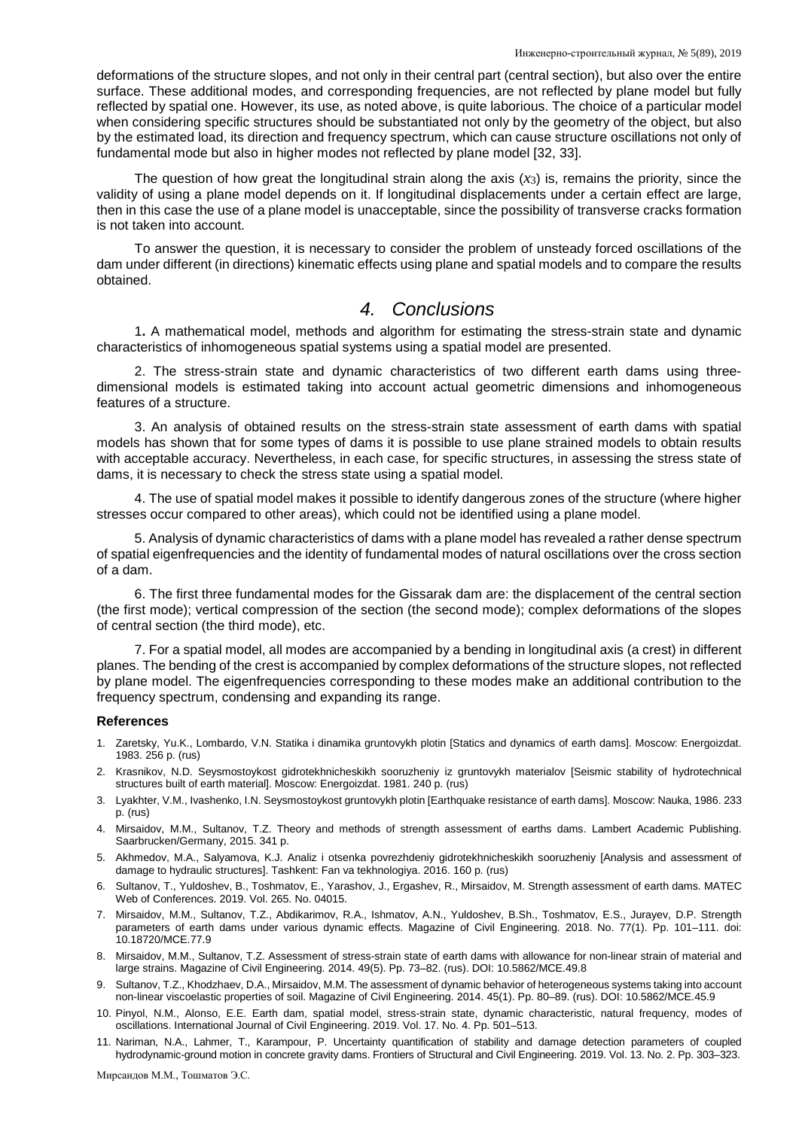deformations of the structure slopes, and not only in their central part (central section), but also over the entire surface. These additional modes, and corresponding frequencies, are not reflected by plane model but fully reflected by spatial one. However, its use, as noted above, is quite laborious. The choice of a particular model when considering specific structures should be substantiated not only by the geometry of the object, but also by the estimated load, its direction and frequency spectrum, which can cause structure oscillations not only of fundamental mode but also in higher modes not reflected by plane model [32, 33].

The question of how great the longitudinal strain along the axis  $(x<sub>3</sub>)$  is, remains the priority, since the validity of using a plane model depends on it. If longitudinal displacements under a certain effect are large, then in this case the use of a plane model is unacceptable, since the possibility of transverse cracks formation is not taken into account.

To answer the question, it is necessary to consider the problem of unsteady forced oscillations of the dam under different (in directions) kinematic effects using plane and spatial models and to compare the results obtained.

#### *4. Conclusions*

1**.** A mathematical model, methods and algorithm for estimating the stress-strain state and dynamic characteristics of inhomogeneous spatial systems using a spatial model are presented.

2. The stress-strain state and dynamic characteristics of two different earth dams using threedimensional models is estimated taking into account actual geometric dimensions and inhomogeneous features of a structure.

3. An analysis of obtained results on the stress-strain state assessment of earth dams with spatial models has shown that for some types of dams it is possible to use plane strained models to obtain results with acceptable accuracy. Nevertheless, in each case, for specific structures, in assessing the stress state of dams, it is necessary to check the stress state using a spatial model.

4. The use of spatial model makes it possible to identify dangerous zones of the structure (where higher stresses occur compared to other areas), which could not be identified using a plane model.

5. Analysis of dynamic characteristics of dams with a plane model has revealed a rather dense spectrum of spatial eigenfrequencies and the identity of fundamental modes of natural oscillations over the cross section of a dam.

6. The first three fundamental modes for the Gissarak dam are: the displacement of the central section (the first mode); vertical compression of the section (the second mode); complex deformations of the slopes of central section (the third mode), etc.

7. For a spatial model, all modes are accompanied by a bending in longitudinal axis (a crest) in different planes. The bending of the crest is accompanied by complex deformations of the structure slopes, not reflected by plane model. The eigenfrequencies corresponding to these modes make an additional contribution to the frequency spectrum, condensing and expanding its range.

#### **References**

- 1. Zaretsky, Yu.K., Lombardo, V.N. Statika i dinamika gruntovykh plotin [Statics and dynamics of earth dams]. Moscow: Energoizdat. 1983. 256 p. (rus)
- 2. Krasnikov, N.D. Seysmostoykost gidrotekhnicheskikh sooruzheniy iz gruntovykh materialov [Seismic stability of hydrotechnical structures built of earth material]. Moscow: Energoizdat. 1981. 240 p. (rus)
- 3. Lyakhter, V.M., Ivashenko, I.N. Seysmostoykost gruntovykh plotin [Earthquake resistance of earth dams]. Moscow: Nauka, 1986. 233 p. (rus)
- 4. Mirsaidov, M.M., Sultanov, T.Z. Theory and methods of strength assessment of earths dams. Lambert Academic Publishing. Saarbrucken/Germany, 2015. 341 p.
- 5. Akhmedov, M.A., Salyamova, K.J. Analiz i otsenka povrezhdeniy gidrotekhnicheskikh sooruzheniy [Analysis and assessment of damage to hydraulic structures]. Tashkent: Fan va tekhnologiya. 2016. 160 p. (rus)
- 6. Sultanov, T., Yuldoshev, B., Toshmatov, E., Yarashov, J., Ergashev, R., Mirsaidov, M. Strength assessment of earth dams. MATEC Web of Conferences. 2019. Vol. 265. No. 04015.
- 7. Mirsaidov, M.M., Sultanov, T.Z., Abdikarimov, R.A., Ishmatov, A.N., Yuldoshev, B.Sh., Toshmatov, E.S., Jurayev, D.P. Strength parameters of earth dams under various dynamic effects. Magazine of Civil Engineering. 2018. No. 77(1). Pp. 101–111. doi: 10.18720/MCE.77.9
- 8. Mirsaidov, M.M., Sultanov, T.Z. Assessment of stress-strain state of earth dams with allowance for non-linear strain of material and large strains. Magazine of Civil Engineering. 2014. 49(5). Pp. 73–82. (rus). DOI: 10.5862/MCE.49.8
- 9. Sultanov, T.Z., Khodzhaev, D.A., Mirsaidov, M.M. The assessment of dynamic behavior of heterogeneous systems taking into account non-linear viscoelastic properties of soil. Magazine of Civil Engineering. 2014. 45(1). Pp. 80–89. (rus). DOI: 10.5862/MCE.45.9
- 10. Pinyol, N.M., Alonso, E.E. Earth dam, spatial model, stress-strain state, dynamic characteristic, natural frequency, modes of oscillations. International Journal of Civil Engineering. 2019. Vol. 17. No. 4. Pp. 501–513.
- 11. Nariman, N.A., Lahmer, T., Karampour, P. Uncertainty quantification of stability and damage detection parameters of coupled hydrodynamic-ground motion in concrete gravity dams. Frontiers of Structural and Civil Engineering. 2019. Vol. 13. No. 2. Pp. 303–323.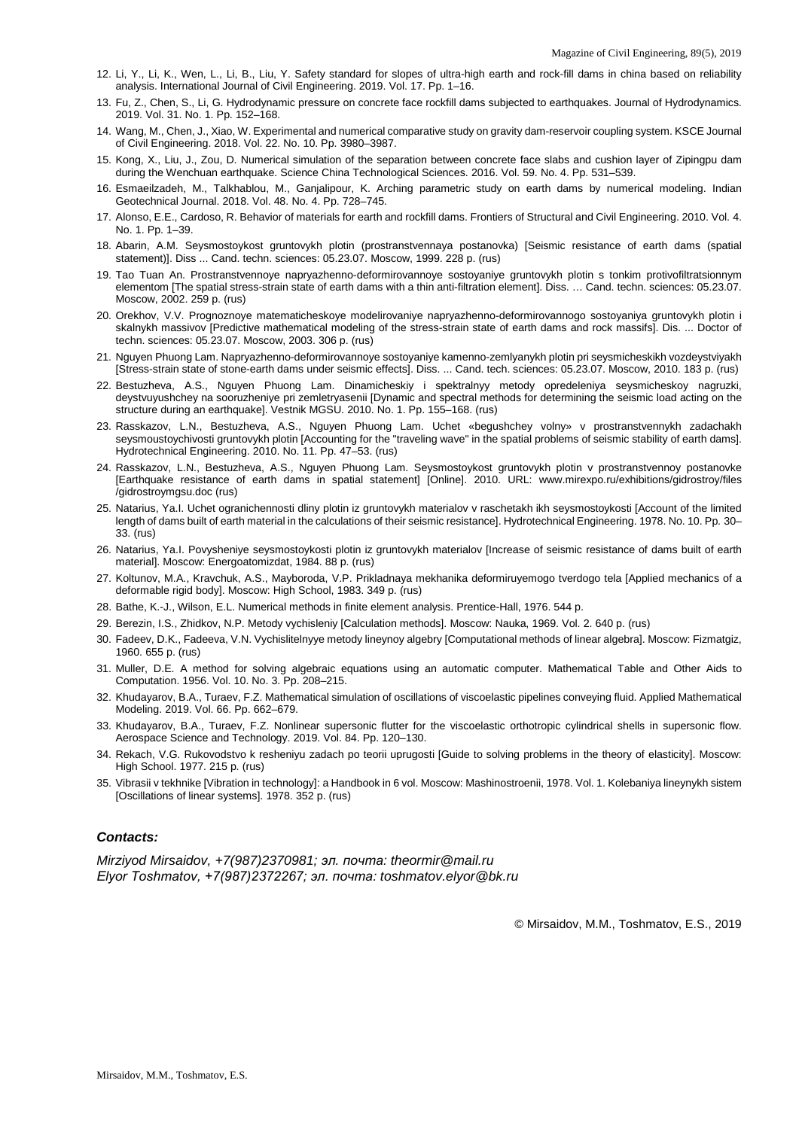- 12. Li, Y., Li, K., Wen, L., Li, B., Liu, Y. Safety standard for slopes of ultra-high earth and rock-fill dams in china based on reliability analysis. International Journal of Civil Engineering. 2019. Vol. 17. Pp. 1–16.
- 13. Fu, Z., Chen, S., Li, G. Hydrodynamic pressure on concrete face rockfill dams subjected to earthquakes. Journal of Hydrodynamics. 2019. Vol. 31. No. 1. Pp. 152–168.
- 14. Wang, M., Chen, J., Xiao, W. Experimental and numerical comparative study on gravity dam-reservoir coupling system. KSCE Journal of Civil Engineering. 2018. Vol. 22. No. 10. Pp. 3980–3987.
- 15. Kong, X., Liu, J., Zou, D. Numerical simulation of the separation between concrete face slabs and cushion layer of Zipingpu dam during the Wenchuan earthquake. Science China Technological Sciences. 2016. Vol. 59. No. 4. Pp. 531–539.
- 16. Esmaeilzadeh, M., Talkhablou, M., Ganjalipour, K. Arching parametric study on earth dams by numerical modeling. Indian Geotechnical Journal. 2018. Vol. 48. No. 4. Pp. 728–745.
- 17. Alonso, E.E., Cardoso, R. Behavior of materials for earth and rockfill dams. Frontiers of Structural and Civil Engineering. 2010. Vol. 4. No. 1. Pp. 1–39.
- 18. Abarin, A.M. Seysmostoykost gruntovykh plotin (prostranstvennaya postanovka) [Seismic resistance of earth dams (spatial statement)]. Diss ... Cand. techn. sciences: 05.23.07. Moscow, 1999. 228 p. (rus)
- 19. Tao Tuan An. Prostranstvennoye napryazhenno-deformirovannoye sostoyaniye gruntovykh plotin s tonkim protivofiltratsionnym elementom [The spatial stress-strain state of earth dams with a thin anti-filtration element]. Diss. … Cand. techn. sciences: 05.23.07. Moscow, 2002. 259 p. (rus)
- 20. Orekhov, V.V. Prognoznoye matematicheskoye modelirovaniye napryazhenno-deformirovannogo sostoyaniya gruntovykh plotin i skalnykh massivov [Predictive mathematical modeling of the stress-strain state of earth dams and rock massifs]. Dis. ... Doctor of techn. sciences: 05.23.07. Moscow, 2003. 306 p. (rus)
- 21. Nguyen Phuong Lam. Napryazhenno-deformirovannoye sostoyaniye kamenno-zemlyanykh plotin pri seysmicheskikh vozdeystviyakh [Stress-strain state of stone-earth dams under seismic effects]. Diss. ... Cand. tech. sciences: 05.23.07. Moscow, 2010. 183 p. (rus)
- 22. Bestuzheva, A.S., Nguyen Phuong Lam. Dinamicheskiy i spektralnyy metody opredeleniya seysmicheskoy nagruzki, deystvuyushchey na sooruzheniye pri zemletryasenii [Dynamic and spectral methods for determining the seismic load acting on the structure during an earthquake]. Vestnik MGSU. 2010. No. 1. Pp. 155–168. (rus)
- 23. Rasskazov, L.N., Bestuzheva, A.S., Nguyen Phuong Lam. Uchet «begushchey volny» v prostranstvennykh zadachakh seysmoustoychivosti gruntovykh plotin [Accounting for the "traveling wave" in the spatial problems of seismic stability of earth dams]. Hydrotechnical Engineering. 2010. No. 11. Pp. 47–53. (rus)
- 24. Rasskazov, L.N., Bestuzheva, A.S., Nguyen Phuong Lam. Seysmostoykost gruntovykh plotin v prostranstvennoy postanovke [Earthquake resistance of earth dams in spatial statement] [Online]. 2010. URL: www.mirexpo.ru/exhibitions/gidrostroy/files /gidrostroymgsu.doc (rus)
- 25. Natarius, Ya.I. Uchet ogranichennosti dliny plotin iz gruntovykh materialov v raschetakh ikh seysmostoykosti [Account of the limited length of dams built of earth material in the calculations of their seismic resistance]. Hydrotechnical Engineering. 1978. No. 10. Pp. 30– 33. (rus)
- 26. Natarius, Ya.I. Povysheniye seysmostoykosti plotin iz gruntovykh materialov [Increase of seismic resistance of dams built of earth material]. Moscow: Energoatomizdat, 1984. 88 p. (rus)
- 27. Koltunov, M.A., Kravchuk, A.S., Mayboroda, V.P. Prikladnaya mekhanika deformiruyemogo tverdogo tela [Applied mechanics of a deformable rigid body]. Moscow: High School, 1983. 349 p. (rus)
- 28. Bathe, K.-J., Wilson, E.L. Numerical methods in finite element analysis. Prentice-Hall, 1976. 544 p.
- 29. Berezin, I.S., Zhidkov, N.P. Metody vychisleniy [Calculation methods]. Moscow: Nauka, 1969. Vol. 2. 640 p. (rus)
- 30. Fadeev, D.K., Fadeeva, V.N. Vychislitelnyye metody lineynoy algebry [Computational methods of linear algebra]. Moscow: Fizmatgiz, 1960. 655 p. (rus)
- 31. Muller, D.E. A method for solving algebraic equations using an automatic computer. Mathematical Table and Other Aids to Computation. 1956. Vol. 10. No. 3. Pp. 208–215.
- 32. Khudayarov, B.A., Turaev, F.Z. Mathematical simulation of oscillations of viscoelastic pipelines conveying fluid. Applied Mathematical Modeling. 2019. Vol. 66. Pp. 662–679.
- 33. Khudayarov, B.A., Turaev, F.Z. Nonlinear supersonic flutter for the viscoelastic orthotropic cylindrical shells in supersonic flow. Aerospace Science and Technology. 2019. Vol. 84. Pp. 120–130.
- 34. Rekach, V.G. Rukovodstvo k resheniyu zadach po teorii uprugosti [Guide to solving problems in the theory of elasticity]. Moscow: High School. 1977. 215 p. (rus)
- 35. Vibrasii v tekhnike [Vibration in technology]: a Handbook in 6 vol. Moscow: Mashinostroenii, 1978. Vol. 1. Kolebaniya lineynykh sistem [Oscillations of linear systems]. 1978. 352 p. (rus)

#### *Contacts:*

*Mirziyod Mirsaidov, +7(987)2370981; эл. почта: theormir@mail.ru Elyor Toshmatov, +7(987)2372267; эл. почта: toshmatov.elyor@bk.ru*

© Mirsaidov, M.M., Toshmatov, E.S., 2019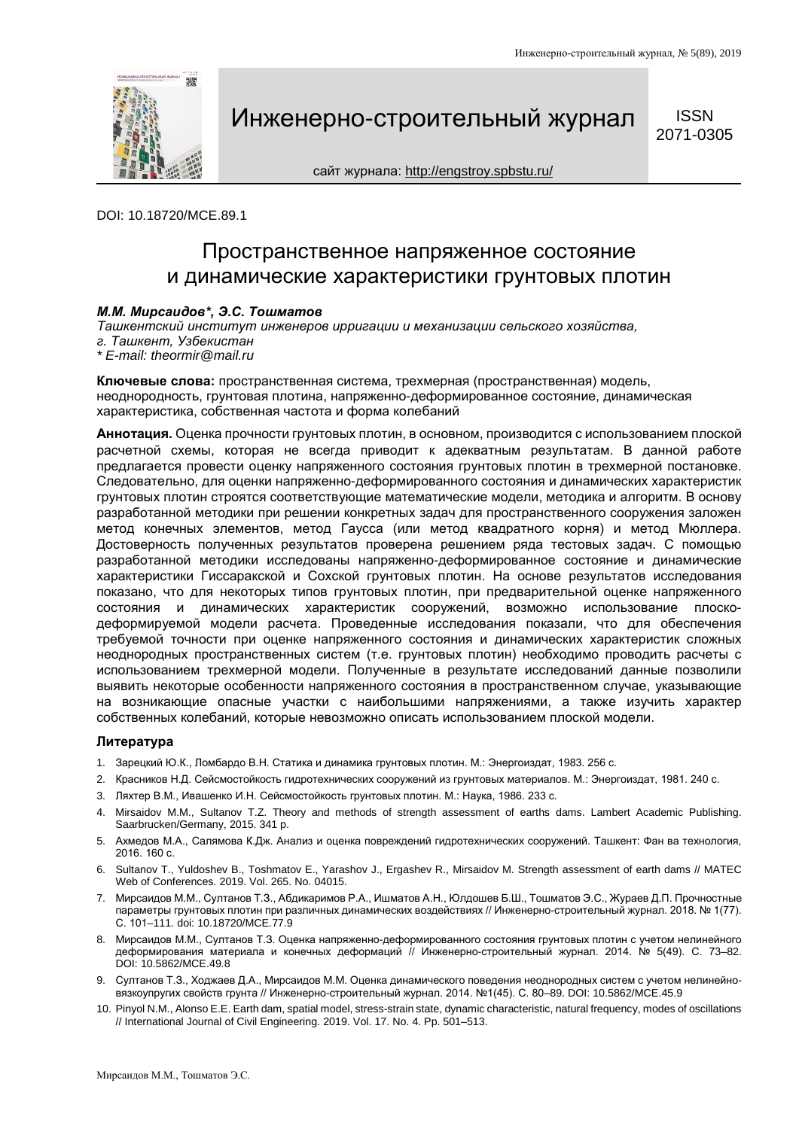

Инженерно-строительный журнал SSN 5071-0305

**ISSN** 

сайт журнала:<http://engstroy.spbstu.ru/>

DOI: 10.18720/MCE.89.1

### Пространственное напряженное состояние и динамические характеристики грунтовых плотин

#### *М.М. Мирсаидов\*, Э.С. Тошматов*

*Ташкентский институт инженеров ирригации и механизации сельского хозяйства,* 

- *г. Ташкент, Узбекистан*
- *\* E-mail: theormir@mail.ru*

**Ключевые слова:** пространственная система, трехмерная (пространственная) модель, неоднородность, грунтовая плотина, напряженно-деформированное состояние, динамическая характеристика, собственная частота и форма колебаний

**Аннотация.** Оценка прочности грунтовых плотин, в основном, производится с использованием плоской расчетной схемы, которая не всегда приводит к адекватным результатам. В данной работе предлагается провести оценку напряженного состояния грунтовых плотин в трехмерной постановке. Следовательно, для оценки напряженно-деформированного состояния и динамических характеристик грунтовых плотин строятся соответствующие математические модели, методика и алгоритм. В основу разработанной методики при решении конкретных задач для пространственного сооружения заложен метод конечных элементов, метод Гаусса (или метод квадратного корня) и метод Мюллера. Достоверность полученных результатов проверена решением ряда тестовых задач. С помощью разработанной методики исследованы напряженно-деформированное состояние и динамические характеристики Гиссаракской и Сохской грунтовых плотин. На основе результатов исследования показано, что для некоторых типов грунтовых плотин, при предварительной оценке напряженного состояния и динамических характеристик сооружений, возможно использование плоскодеформируемой модели расчета. Проведенные исследования показали, что для обеспечения требуемой точности при оценке напряженного состояния и динамических характеристик сложных неоднородных пространственных систем (т.е. грунтовых плотин) необходимо проводить расчеты с использованием трехмерной модели. Полученные в результате исследований данные позволили выявить некоторые особенности напряженного состояния в пространственном случае, указывающие на возникающие опасные участки с наибольшими напряжениями, а также изучить характер собственных колебаний, которые невозможно описать использованием плоской модели.

#### **Литература**

- 1. Зарецкий Ю.К., Ломбардо В.Н. Статика и динамика грунтовых плотин. М.: Энергоиздат, 1983. 256 с.
- 2. Красников Н.Д. Сейсмостойкость гидротехнических сооружений из грунтовых материалов. М.: Энергоиздат, 1981. 240 с.
- 3. Ляхтер В.М., Ивашенко И.Н. Сейсмостойкость грунтовых плотин. М.: Наука, 1986. 233 с.
- 4. Mirsaidov M.M., Sultanov T.Z. Theory and methods of strength assessment of earths dams. Lambert Academic Publishing. Saarbrucken/Germany, 2015. 341 p.
- 5. Ахмедов М.А., Салямова К.Дж. Анализ и оценка повреждений гидротехнических сооружений. Ташкент: Фан ва технология, 2016. 160 с.
- 6. Sultanov T., Yuldoshev B., Toshmatov E., Yarashov J., Ergashev R., Mirsaidov M. Strength assessment of earth dams // MATEC Web of Conferences. 2019. Vol. 265. No. 04015.
- 7. Мирсаидов М.М., Султанов Т.З., Абдикаримов Р.А., Ишматов А.Н., Юлдошев Б.Ш., Тошматов Э.С., Жураев Д.П. Прочностные параметры грунтовых плотин при различных динамических воздействиях // Инженерно-строительный журнал. 2018. № 1(77). С. 101–111. doi: 10.18720/MCE.77.9
- 8. Мирсаидов М.М., Султанов Т.З. Оценка напряженно-деформированного состояния грунтовых плотин с учетом нелинейного деформирования материала и конечных деформаций // Инженерно-строительный журнал. 2014. № 5(49). С. 73–82. DOI: 10.5862/MCE.49.8
- 9. Султанов Т.З., Ходжаев Д.А., Мирсаидов М.М. Оценка динамического поведения неоднородных систем с учетом нелинейновязкоупругих свойств грунта // Инженерно-строительный журнал. 2014. №1(45). С. 80–89. DOI: 10.5862/MCE.45.9
- 10. Pinyol N.M., Alonso E.E. Earth dam, spatial model, stress-strain state, dynamic characteristic, natural frequency, modes of oscillations // International Journal of Civil Engineering. 2019. Vol. 17. No. 4. Pp. 501–513.